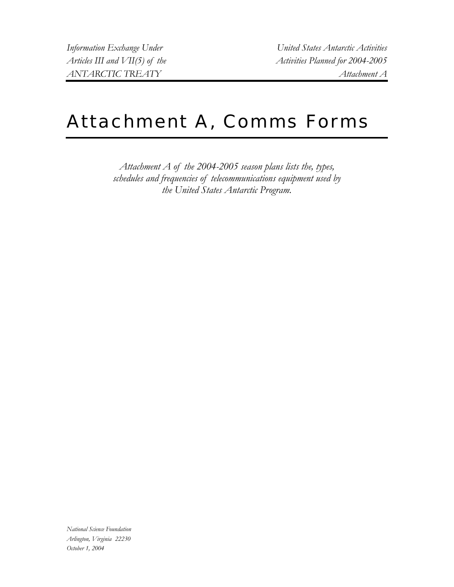*Information Exchange Under United States Antarctic Activities Articles III and VII(5) of the Activities Planned for 2004-2005 ANTARCTIC TREATY Attachment A* 

# Attachment A, Comms Forms

*Attachment A of the 2004-2005 season plans lists the, types, schedules and frequencies of telecommunications equipment used by the United States Antarctic Program.* 

*National Science Foundation Arlington, Virginia 22230 October 1, 2004*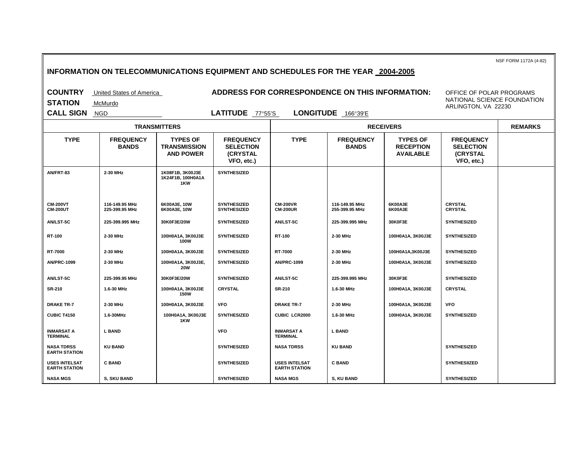**INFORMATION ON TELECOMMUNICATIONS EQUIPMENT AND SCHEDULES FOR THE YEAR 2004-2005 COUNTRY** United States of America **ADDRESS FOR CORRESPONDENCE ON THIS INFORMATION: STATION** McMurdo **CALL SIGN** NGD **LATITUDE** 77°55'S **LONGITUDE** 166°39'E NSF FORM 1172A (4-82) OFFICE OF POLAR PROGRAMS NATIONAL SCIENCE FOUNDATION ARLINGTON, VA 22230  **TRANSMITTERS RECEIVERS REMARKS TYPE FREQUENCY BANDS TYPES OF TRANSMISSION AND POWER FREQUENCY SELECTION (CRYSTAL VFO, etc.) TYPE FREQUENCY BANDS TYPES OF RECEPTION AVAILABLE FREQUENCY SELECTION (CRYSTAL VFO, etc.) AN/FRT-83 2-30 MHz 1K08F1B, 3K00J3E 1K24F1B, 100H0A1A 1KW SYNTHESIZED CM-200VT CM-200UT 116-149.95 MHz 225-399.95 MHz 6K00A3E, 10W 6K00A3E, 10W SYNTHESIZED SYNTHESIZED CM-200VR CM-200UR 116-149.95 MHz 255-399.95 MHz 6K00A3E 6K00A3E CRYSTAL CRYSTAL AN/LST-5C 225-399.995 MHz 30K0F3E/20W SYNTHESIZED AN/LST-5C 225-399.995 MHz 30K0F3E SYNTHESIZED RT-100 2-30 MHz 100H0A1A, 3K00J3E 100W** SYNTHESIZED **RT-100** 2-30 MHz 100H0A1A, 3K00J3E SYNTHESIZED **RT-7000 2-30 MHz 100H0A1A, 3K00J3E SYNTHESIZED RT-7000 2-30 MHz 100H0A1A,3K00J3E SYNTHESIZED AN/PRC-1099 2-30 MHz 100H0A1A, 3K00J3E, 20W** SYNTHESIZED **AN/PRC-1099** 2-30 MHz 100H0A1A, 3K00J3E SYNTHESIZED **AN/LST-5C 225-399.95 MHz 30K0F3E/20W SYNTHESIZED AN/LST-5C 225-399.995 MHz 30K0F3E SYNTHESIZED SR-210 1.6-30 MHz 100H0A1A, 3K00J3E 150W CRYSTAL SR-210 1.6-30 MHz 100H0A1A, 3K00J3E CRYSTAL DRAKE TR-7 2-30 MHz 100H0A1A, 3K00J3E VFO DRAKE TR-7 2-30 MHz 100H0A1A, 3K00J3E VFO CUBIC T4150 1.6-30MHz 100H0A1A, 3K00J3E 1KW** SYNTHESIZED CUBIC LCR2000 1.6-30 MHz 100H0A1A, 3K00J3E SYNTHESIZED **INMARSAT A TERMINAL** L BAND **INMARSAT A VFO** INMARSAT A **TERMINAL L BAND NASA TDRSS EARTH STATION KU BAND SYNTHESIZED NASA TDRSS KU BAND SYNTHESIZED USES INTELSAT EARTH STATION C BAND C BAND SYNTHESIZED** USES INTELSAT **EARTH STATION** C BAND SYNTHESIIZED NASA MGS | S, SKU BAND | | SYNTHESIZED | NASA MGS | S, KU BAND | | SYNTHESIZED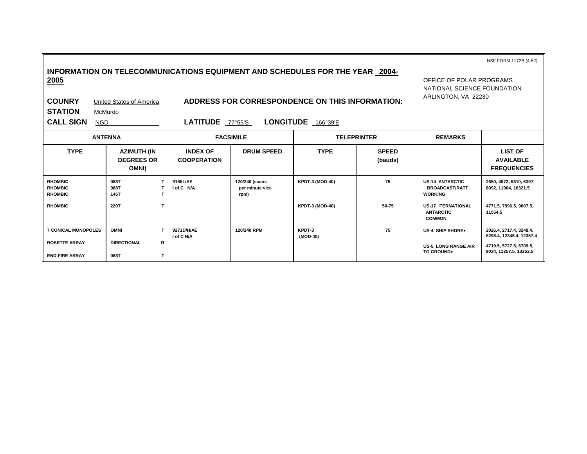# **INFORMATION ON TELECOMMUNICATIONS EQUIPMENT AND SCHEDULES FOR THE YEAR 2004- 2005**

OFFICE OF POLAR PROGRAMS NATIONAL SCIENCE FOUNDATION ARLINGTON, VA 22230

NSF FORM 1172B (4-82)

**STATION** McMurdo

**COUNRY** United States of America **ADDRESS FOR CORRESPONDENCE ON THIS INFORMATION:** 

**CALL SIGN** NGD **LATITUDE** 77°55'S **LONGITUDE** 166°39'E

|                                                    | <b>ANTENNA</b>                            | <b>FACSIMILE</b>                      |                                           | <b>TELEPRINTER</b>     |                         | <b>REMARKS</b>                                                    |                                                          |
|----------------------------------------------------|-------------------------------------------|---------------------------------------|-------------------------------------------|------------------------|-------------------------|-------------------------------------------------------------------|----------------------------------------------------------|
| <b>TYPE</b>                                        | AZIMUTH (IN<br><b>DEGREES OR</b><br>OMNI) | <b>INDEX OF</b><br><b>COOPERATION</b> | <b>DRUM SPEED</b>                         | <b>TYPE</b>            | <b>SPEED</b><br>(bauds) |                                                                   | <b>LIST OF</b><br><b>AVAILABLE</b><br><b>FREQUENCIES</b> |
| <b>RHOMBIC</b><br><b>RHOMBIC</b><br><b>RHOMBIC</b> | 088T<br>088T<br>146T                      | 9165L/AE<br><b>I of C N/A</b>         | 120/240 (scans<br>per minute vice<br>rpm) | <b>KPDT-3 (MOD-40)</b> | 75                      | <b>US-14 ANTARCTIC</b><br><b>BROADCAST/RATT</b><br><b>WORKING</b> | 2650, 4872, 5810, 6397,<br>8092, 11004, 16321.5          |
| <b>RHOMBIC</b>                                     | 220T                                      |                                       |                                           | <b>KPDT-3 (MOD-40)</b> | 50-75                   | <b>US-17 ITERNATIONAL</b><br><b>ANTARCTIC</b><br><b>COMMON</b>    | 4771.5, 7996.5, 9007.5,<br>11554.5                       |
| <b>7 CONICAL MONOPOLES</b>                         | <b>OMNI</b>                               | 9271D/H/AE<br>I of C N/A              | 120/240 RPM                               | KPDT-3<br>(MOD-40)     | 75                      | US-4 SHIP SHORE+                                                  | 2026.4, 2717.4, 3248.4,<br>8298.4, 12345.4, 12357.4      |
| <b>ROSETTE ARRAY</b><br><b>END-FIRE ARRAY</b>      | R<br><b>DIRECTIONAL</b><br>088T           |                                       |                                           |                        |                         | <b>US-5 LONG RANGE AIR</b><br><b>TO GROUND*</b>                   | 4719.5, 5727.5, 6709.5,<br>9034, 11257.5, 13252.5        |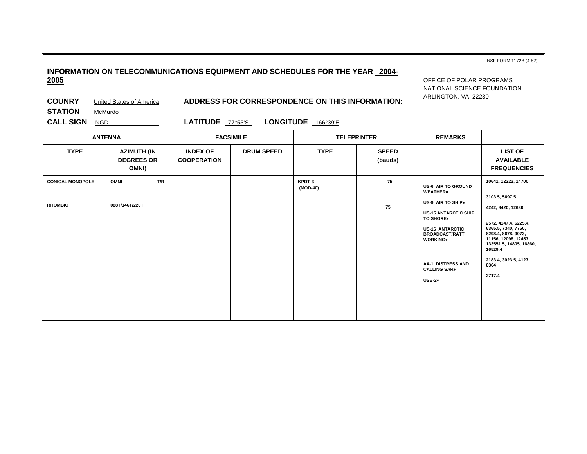| INFORMATION ON TELECOMMUNICATIONS EQUIPMENT AND SCHEDULES FOR THE YEAR 2004- |  |
|------------------------------------------------------------------------------|--|
| 2005                                                                         |  |

NSF FORM 1172B (4-82)

OFFICE OF POLAR PROGRAMS NATIONAL SCIENCE FOUNDATION ARLINGTON, VA 22230

**STATION** McMurdo

**COUNRY** United States of America **ADDRESS FOR CORRESPONDENCE ON THIS INFORMATION:** 

**CALL SIGN** NGD **LATITUDE** 77°55'S **LONGITUDE** 166°39'E

|                                           | <b>ANTENNA</b>                            | <b>FACSIMILE</b><br><b>TELEPRINTER</b> |                   | <b>REMARKS</b>     |                         |                                                                                                                                                                                                                                      |                                                                                                                                                                                                                                            |
|-------------------------------------------|-------------------------------------------|----------------------------------------|-------------------|--------------------|-------------------------|--------------------------------------------------------------------------------------------------------------------------------------------------------------------------------------------------------------------------------------|--------------------------------------------------------------------------------------------------------------------------------------------------------------------------------------------------------------------------------------------|
| <b>TYPE</b>                               | AZIMUTH (IN<br><b>DEGREES OR</b><br>OMNI) | <b>INDEX OF</b><br><b>COOPERATION</b>  | <b>DRUM SPEED</b> | <b>TYPE</b>        | <b>SPEED</b><br>(bauds) |                                                                                                                                                                                                                                      | <b>LIST OF</b><br><b>AVAILABLE</b><br><b>FREQUENCIES</b>                                                                                                                                                                                   |
| <b>CONICAL MONOPOLE</b><br><b>RHOMBIC</b> | T/R<br><b>OMNI</b><br>088T/146T/220T      |                                        |                   | KPDT-3<br>(MOD-40) | 75<br>75                | <b>US-6 AIR TO GROUND</b><br>WEATHER*<br>US-9 AIR TO SHIP*<br><b>US-15 ANTARCTIC SHIP</b><br>TO SHORE*<br><b>US-16 ANTARCTIC</b><br><b>BROADCAST/RATT</b><br><b>WORKING*</b><br>AA-1 DISTRESS AND<br><b>CALLING SAR+</b><br>$USB-2*$ | 10641, 12222, 14700<br>3103.5, 5697.5<br>4242, 8420, 12630<br>2572, 4147.4, 6225.4,<br>6365.5, 7340, 7750,<br>8298.4, 8678, 9073,<br>11156, 12098, 12457,<br>133551.5, 14805, 16860,<br>16529.4<br>2183.4, 3023.5, 4127,<br>8364<br>2717.4 |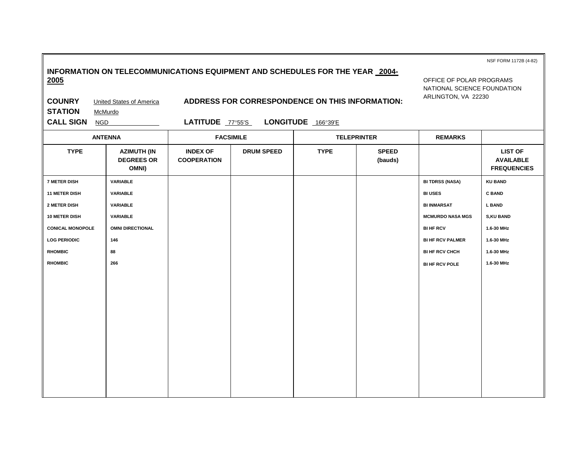| 2005<br><b>COUNRY</b><br><b>STATION</b><br><b>CALL SIGN</b> | <b>United States of America</b><br>McMurdo<br><b>NGD</b> | LATITUDE 77°55'S                      |                   | ADDRESS FOR CORRESPONDENCE ON THIS INFORMATION:<br>LONGITUDE 166°39'E |                         | OFFICE OF POLAR PROGRAMS<br>NATIONAL SCIENCE FOUNDATION<br>ARLINGTON, VA 22230 |                                                          |
|-------------------------------------------------------------|----------------------------------------------------------|---------------------------------------|-------------------|-----------------------------------------------------------------------|-------------------------|--------------------------------------------------------------------------------|----------------------------------------------------------|
|                                                             |                                                          |                                       |                   |                                                                       |                         |                                                                                |                                                          |
|                                                             | <b>ANTENNA</b>                                           |                                       | <b>FACSIMILE</b>  |                                                                       | <b>TELEPRINTER</b>      | <b>REMARKS</b>                                                                 |                                                          |
| <b>TYPE</b>                                                 | <b>AZIMUTH (IN</b><br><b>DEGREES OR</b><br>OMNI)         | <b>INDEX OF</b><br><b>COOPERATION</b> | <b>DRUM SPEED</b> | <b>TYPE</b>                                                           | <b>SPEED</b><br>(bauds) |                                                                                | <b>LIST OF</b><br><b>AVAILABLE</b><br><b>FREQUENCIES</b> |
| <b>7 METER DISH</b>                                         | VARIABLE                                                 |                                       |                   |                                                                       |                         | <b>BI TDRSS (NASA)</b>                                                         | <b>KU BAND</b>                                           |
| <b>11 METER DISH</b>                                        | <b>VARIABLE</b>                                          |                                       |                   |                                                                       |                         | <b>BI USES</b>                                                                 | <b>C BAND</b>                                            |
| 2 METER DISH                                                | <b>VARIABLE</b>                                          |                                       |                   |                                                                       |                         | <b>BI INMARSAT</b>                                                             | <b>L BAND</b>                                            |
| <b>10 METER DISH</b>                                        | VARIABLE                                                 |                                       |                   |                                                                       |                         | <b>MCMURDO NASA MGS</b>                                                        | <b>S,KU BAND</b>                                         |
| <b>CONICAL MONOPOLE</b>                                     | <b>OMNI DIRECTIONAL</b>                                  |                                       |                   |                                                                       |                         | <b>BI HF RCV</b>                                                               | 1.6-30 MHz                                               |
| <b>LOG PERIODIC</b>                                         | 146                                                      |                                       |                   |                                                                       |                         | <b>BI HF RCV PALMER</b>                                                        | 1.6-30 MHz                                               |
| <b>RHOMBIC</b>                                              | 88                                                       |                                       |                   |                                                                       |                         | <b>BI HF RCV CHCH</b>                                                          | 1.6-30 MHz                                               |
| <b>RHOMBIC</b>                                              | 266                                                      |                                       |                   |                                                                       |                         | <b>BI HF RCV POLE</b>                                                          | 1.6-30 MHz                                               |
|                                                             |                                                          |                                       |                   |                                                                       |                         |                                                                                |                                                          |
|                                                             |                                                          |                                       |                   |                                                                       |                         |                                                                                |                                                          |
|                                                             |                                                          |                                       |                   |                                                                       |                         |                                                                                |                                                          |
|                                                             |                                                          |                                       |                   |                                                                       |                         |                                                                                |                                                          |
|                                                             |                                                          |                                       |                   |                                                                       |                         |                                                                                |                                                          |
|                                                             |                                                          |                                       |                   |                                                                       |                         |                                                                                |                                                          |
|                                                             |                                                          |                                       |                   |                                                                       |                         |                                                                                |                                                          |
|                                                             |                                                          |                                       |                   |                                                                       |                         |                                                                                |                                                          |
|                                                             |                                                          |                                       |                   |                                                                       |                         |                                                                                |                                                          |
|                                                             |                                                          |                                       |                   |                                                                       |                         |                                                                                |                                                          |
|                                                             |                                                          |                                       |                   |                                                                       |                         |                                                                                |                                                          |

NSF FORM 1172B (4-82)

# **INFORMATION ON TELECOMMUNICATIONS EQUIPMENT AND SCHEDULES FOR THE YEAR 2004-**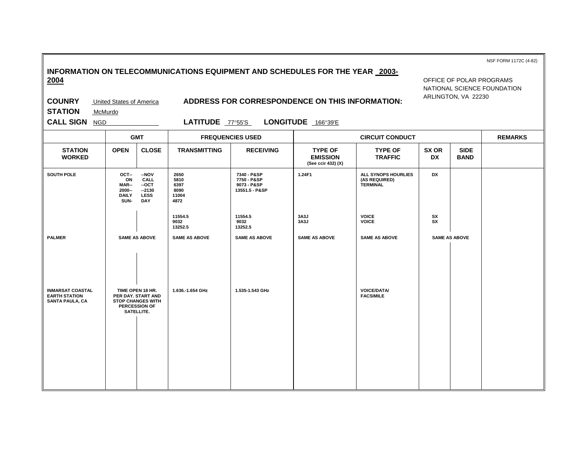| INFORMATION ON TELECOMMUNICATIONS EQUIPMENT AND SCHEDULES FOR THE YEAR 2003- |  |
|------------------------------------------------------------------------------|--|
| 2004                                                                         |  |

NSF FORM 1172C (4-82)

#### **COUNRY** United States of America **ADDRESS FOR CORRESPONDENCE ON THIS INFORMATION:**

OFFICE OF POLAR PROGRAMS NATIONAL SCIENCE FOUNDATION ARLINGTON, VA 22230

**STATION** McMurdo

**CALL SIGN** NGD **LATITUDE** 77°55'S **LONGITUDE** 166°39'E

|                                                                           |                                                       | <b>GMT</b>                                                                                        |                                               | <b>FREQUENCIES USED</b>                                     |                                                         | <b>CIRCUIT CONDUCT</b>                                  |                    |                            | <b>REMARKS</b> |
|---------------------------------------------------------------------------|-------------------------------------------------------|---------------------------------------------------------------------------------------------------|-----------------------------------------------|-------------------------------------------------------------|---------------------------------------------------------|---------------------------------------------------------|--------------------|----------------------------|----------------|
| <b>STATION</b><br><b>WORKED</b>                                           | <b>OPEN</b>                                           | <b>CLOSE</b>                                                                                      | <b>TRANSMITTING</b>                           | <b>RECEIVING</b>                                            | <b>TYPE OF</b><br><b>EMISSION</b><br>(See ccir 432) (X) | <b>TYPE OF</b><br><b>TRAFFIC</b>                        | SX OR<br><b>DX</b> | <b>SIDE</b><br><b>BAND</b> |                |
| SOUTH POLE                                                                | OCT-<br>ON<br>MAR--<br>2000--<br><b>DAILY</b><br>SUN- | $-NOV$<br><b>CALL</b><br>$-OCT$<br>$-2130$<br><b>LESS</b><br><b>DAY</b>                           | 2650<br>5810<br>6397<br>8090<br>11004<br>4872 | 7340 - P&SP<br>7750 - P&SP<br>9073 - P&SP<br>13551.5 - P&SP | 1.24F1                                                  | ALL SYNOPS HOURLIES<br>(AS REQUIRED)<br><b>TERMINAL</b> | DX                 |                            |                |
|                                                                           |                                                       |                                                                                                   | 11554.5<br>9032<br>13252.5                    | 11554.5<br>9032<br>13252.5                                  | 3A3J<br>3A3J                                            | <b>VOICE</b><br><b>VOICE</b>                            | SX<br><b>SX</b>    |                            |                |
| <b>PALMER</b>                                                             |                                                       | <b>SAME AS ABOVE</b>                                                                              | <b>SAME AS ABOVE</b>                          | <b>SAME AS ABOVE</b>                                        | <b>SAME AS ABOVE</b>                                    | <b>SAME AS ABOVE</b>                                    |                    | <b>SAME AS ABOVE</b>       |                |
| <b>INMARSAT COASTAL</b><br><b>EARTH STATION</b><br><b>SANTA PAULA, CA</b> |                                                       | TIME OPEN 18 HR.<br>PER DAY. START AND<br><b>STOP CHANGES WITH</b><br>PERCESSION OF<br>SATELLITE. | 1.636.-1.654 GHz                              | 1.535-1.543 GHz                                             |                                                         | <b>VOICE/DATA/</b><br><b>FACSIMILE</b>                  |                    |                            |                |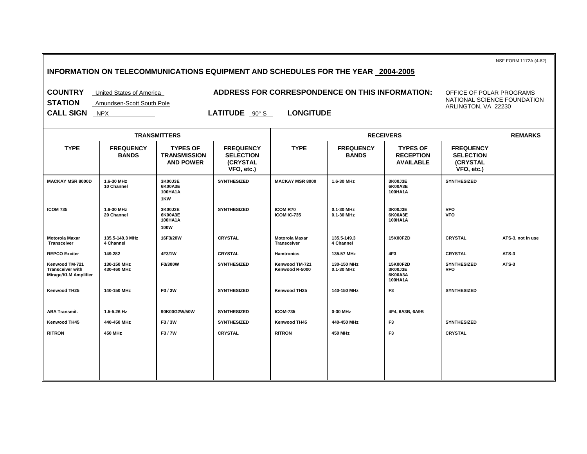NSF FORM 1172A (4-82)

## **INFORMATION ON TELECOMMUNICATIONS EQUIPMENT AND SCHEDULES FOR THE YEAR 2004-2005**

### **COUNTRY** United States of America **ADDRESS FOR CORRESPONDENCE ON THIS INFORMATION:**

OFFICE OF POLAR PROGRAMS NATIONAL SCIENCE FOUNDATION ARLINGTON, VA 22230

**STATION** Amundsen-Scott South Pole

**CALL SIGN** <u>NPX</u> **LATITUDE**  $90^{\circ}$  S **LONGITUDE** 

|                                                                   |                                  | <b>TRANSMITTERS</b>                                        |                                                                       |                                      |                                  | <b>REMARKS</b>                                          |                                                                       |                   |
|-------------------------------------------------------------------|----------------------------------|------------------------------------------------------------|-----------------------------------------------------------------------|--------------------------------------|----------------------------------|---------------------------------------------------------|-----------------------------------------------------------------------|-------------------|
| <b>TYPE</b>                                                       | <b>FREQUENCY</b><br><b>BANDS</b> | <b>TYPES OF</b><br><b>TRANSMISSION</b><br><b>AND POWER</b> | <b>FREQUENCY</b><br><b>SELECTION</b><br><b>(CRYSTAL</b><br>VFO, etc.) | <b>TYPE</b>                          | <b>FREQUENCY</b><br><b>BANDS</b> | <b>TYPES OF</b><br><b>RECEPTION</b><br><b>AVAILABLE</b> | <b>FREQUENCY</b><br><b>SELECTION</b><br><b>(CRYSTAL</b><br>VFO, etc.) |                   |
| <b>MACKAY MSR 8000D</b>                                           | 1.6-30 MHz<br>10 Channel         | 3K00J3E<br>6K00A3E<br>100HA1A<br>1KW                       | <b>SYNTHESIZED</b>                                                    | <b>MACKAY MSR 8000</b>               | 1.6-30 MHz                       | 3K00J3E<br>6K00A3E<br>100HA1A                           | SYNTHESIZED                                                           |                   |
| <b>ICOM 735</b>                                                   | 1.6-30 MHz<br>20 Channel         | 3K00J3E<br>6K00A3E<br>100HA1A<br>100W                      | <b>SYNTHESIZED</b>                                                    | <b>ICOM R70</b><br>ICOM IC-735       | 0.1-30 MHz<br>0.1-30 MHz         | 3K00J3E<br>6K00A3E<br>100HA1A                           | <b>VFO</b><br><b>VFO</b>                                              |                   |
| <b>Motorola Maxar</b><br>Transceiver                              | 135.5-149.3 MHz<br>4 Channel     | 16F3/20W                                                   | <b>CRYSTAL</b>                                                        | <b>Motorola Maxar</b><br>Transceiver | 135.5-149.3<br>4 Channel         | 15K00FZD                                                | <b>CRYSTAL</b>                                                        | ATS-3, not in use |
| <b>REPCO Exciter</b>                                              | 149.282                          | 4F3/1W                                                     | <b>CRYSTAL</b>                                                        | <b>Hamtronics</b>                    | 135.57 MHz                       | 4F3                                                     | <b>CRYSTAL</b>                                                        | ATS-3             |
| Kenwood TM-721<br><b>Transceiver with</b><br>Mirage/KLM Amplifier | 130-150 MHz<br>430-460 MHz       | F3/300W                                                    | <b>SYNTHESIZED</b>                                                    | Kenwood TM-721<br>Kenwood R-5000     | 130-150 MHz<br>0.1-30 MHz        | 15K00F2D<br>3K00J3E<br>6K00A3A<br>100HA1A               | <b>SYNTHESIZED</b><br><b>VFO</b>                                      | ATS-3             |
| Kenwood TH25                                                      | 140-150 MHz                      | F3/3W                                                      | SYNTHESIZED                                                           | Kenwood TH25                         | 140-150 MHz                      | F <sub>3</sub>                                          | <b>SYNTHESIZED</b>                                                    |                   |
| <b>ABA Transmit.</b>                                              | 1.5-5.26 Hz                      | 90K00G2W/50W                                               | <b>SYNTHESIZED</b>                                                    | <b>ICOM-735</b>                      | 0-30 MHz                         | 4F4, 6A3B, 6A9B                                         |                                                                       |                   |
| Kenwood TH45                                                      | 440-450 MHz                      | F3/3W                                                      | SYNTHESIZED                                                           | Kenwood TH45                         | 440-450 MHz                      | F <sub>3</sub>                                          | <b>SYNTHESIZED</b>                                                    |                   |
| <b>RITRON</b>                                                     | <b>450 MHz</b>                   | F3/7W                                                      | <b>CRYSTAL</b>                                                        | <b>RITRON</b>                        | <b>450 MHz</b>                   | F <sub>3</sub>                                          | <b>CRYSTAL</b>                                                        |                   |
|                                                                   |                                  |                                                            |                                                                       |                                      |                                  |                                                         |                                                                       |                   |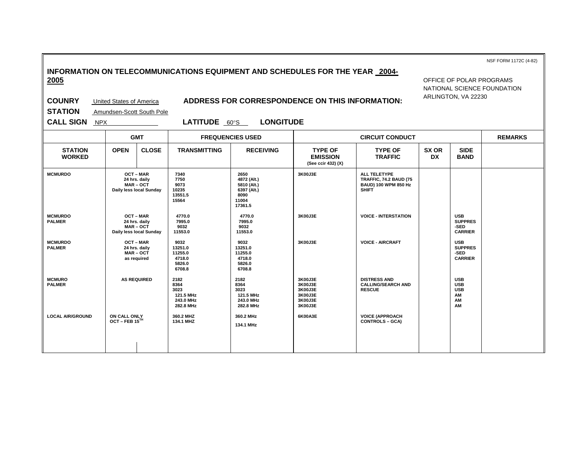**INFORMATION ON TELECOMMUNICATIONS EQUIPMENT AND SCHEDULES FOR THE YEAR 2004- 2005** 

OFFICE OF POLAR PROGRAMS NATIONAL SCIENCE FOUNDATION ARLINGTON, VA 22230

NSF FORM 1172C (4-82)

**COUNRY** United States of America **ADDRESS FOR CORRESPONDENCE ON THIS INFORMATION:** 

**STATION** Amundsen-Scott South Pole

 $\sim$ 

**CALL SIGN** NPX **LATITUDE** 60°S **LONGITUDE** 

|                                 |                                                                       | <b>GMT</b>                                                                |                                                             | <b>FREQUENCIES USED</b>                                                       | <b>CIRCUIT CONDUCT</b>                                         |                                                                                               |             |                                                          | <b>REMARKS</b> |
|---------------------------------|-----------------------------------------------------------------------|---------------------------------------------------------------------------|-------------------------------------------------------------|-------------------------------------------------------------------------------|----------------------------------------------------------------|-----------------------------------------------------------------------------------------------|-------------|----------------------------------------------------------|----------------|
| <b>STATION</b><br><b>WORKED</b> | <b>OPEN</b>                                                           | <b>CLOSE</b>                                                              | <b>TRANSMITTING</b>                                         | <b>RECEIVING</b>                                                              | <b>TYPE OF</b><br><b>EMISSION</b><br>(See ccir 432) (X)        | <b>TYPE OF</b><br><b>TRAFFIC</b>                                                              | SX OR<br>DX | <b>SIDE</b><br><b>BAND</b>                               |                |
| <b>MCMURDO</b>                  | <b>OCT-MAR</b><br>24 hrs. daily<br>MAR-OCT<br>Daily less local Sunday |                                                                           | 7340<br>7750<br>9073<br>10235<br>13551.5<br>15564           | 2650<br>4872 (Alt.)<br>5810 (Alt.)<br>6397 (Alt.)<br>8090<br>11004<br>17361.5 | 3K00J3E                                                        | ALL TELETYPE<br><b>TRAFFIC, 74.2 BAUD (75)</b><br><b>BAUD) 100 WPM 850 Hz</b><br><b>SHIFT</b> |             |                                                          |                |
| <b>MCMURDO</b><br><b>PALMER</b> |                                                                       | <b>OCT-MAR</b><br>24 hrs. daily<br>$MAR - OCT$<br>Daily less local Sunday | 4770.0<br>7995.0<br>9032<br>11553.0                         | 4770.0<br>7995.0<br>9032<br>11553.0                                           | 3K00J3E                                                        | <b>VOICE - INTERSTATION</b>                                                                   |             | <b>USB</b><br><b>SUPPRES</b><br>-SED<br><b>CARRIER</b>   |                |
| <b>MCMURDO</b><br><b>PALMER</b> |                                                                       | <b>OCT-MAR</b><br>24 hrs. daily<br><b>MAR-OCT</b><br>as required          | 9032<br>13251.0<br>11255.0<br>4718.0<br>5826.0<br>6708.8    | 9032<br>13251.0<br>11255.0<br>4718.0<br>5826.0<br>6708.8                      | 3K00J3E                                                        | <b>VOICE - AIRCRAFT</b>                                                                       |             | <b>USB</b><br><b>SUPPRES</b><br>-SED<br><b>CARRIER</b>   |                |
| <b>MCMURO</b><br><b>PALMER</b>  |                                                                       | <b>AS REQUIRED</b>                                                        | 2182<br>8364<br>3023<br>121.5 MHz<br>243.0 MHz<br>282.8 MHz | 2182<br>8364<br>3023<br>121.5 MHz<br>243.0 MHz<br>282.8 MHz                   | 3K00J3E<br>3K00J3E<br>3K00J3E<br>3K00J3E<br>3K00J3E<br>3K00J3E | <b>DISTRESS AND</b><br><b>CALLING/SEARCH AND</b><br><b>RESCUE</b>                             |             | <b>USB</b><br><b>USB</b><br><b>USB</b><br>AM<br>AM<br>AM |                |
| <b>LOCAL AIR/GROUND</b>         | ON CALL ONLY<br>OCT - FEB $15^{\text{TH}}$                            |                                                                           | 360.2 MHZ<br>134.1 MHZ                                      | 360.2 MHz<br>134.1 MHz                                                        | 6K00A3E                                                        | <b>VOICE (APPROACH</b><br><b>CONTROLS - GCA)</b>                                              |             |                                                          |                |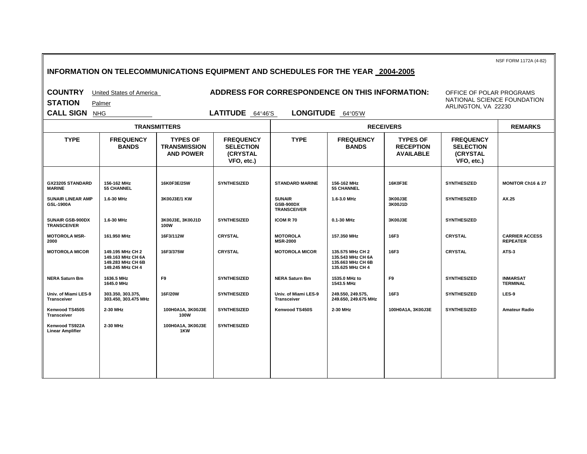**INFORMATION ON TELECOMMUNICATIONS EQUIPMENT AND SCHEDULES FOR THE YEAR 2004-2005 COUNTRY** United States of America **ADDRESS FOR CORRESPONDENCE ON THIS INFORMATION: STATION** Palmer **CALL SIGN** NHG **LATITUDE** 64°46'S **LONGITUDE** 64°05'W NSF FORM 1172A (4-82) OFFICE OF POLAR PROGRAMS NATIONAL SCIENCE FOUNDATION ARLINGTON, VA 22230  **TRANSMITTERS RECEIVERS REMARKS TYPE FREQUENCY BANDS TYPES OF TRANSMISSION AND POWER FREQUENCY SELECTION (CRYSTAL VFO, etc.) TYPE FREQUENCY BANDS TYPES OF RECEPTION AVAILABLE FREQUENCY SELECTION (CRYSTAL VFO, etc.) GX23205 STANDARD MARINE 156-162 MHz 55 CHANNEL 16K0F3E/25W SYNTHESIZED STANDARD MARINE 156-162 MHz 55 CHANNEL 16K0F3E SYNTHESIZED MONITOR Ch16 & 27 SUNAIR LINEAR AMP GSL-1900A** 1.6-30 MHz **3K00J3E/1 KW READING A SUNAIR GSB-900DX TRANSCEIVER 1.6-3.0 MHz 3K00J3E 3K00J1D SYNTHESIZED** AX.25 **SUNAIR GSB-900DX TRANSCEIVER 1.6-30 MHz 3K00J3E, 3K00J1D 100W** SYNTHESIZED | ICOM R 70 | 0.1-30 MHz | 3K00J3E | SYNTHESIZED **MOTOROLA MSR-2000 161.950 MHz 16F3/112W CRYSTAL MOTOROLA MSR-2000 157.350 MHz 16F3 CRYSTAL CARRIER ACCESS REPEATER MOTOROLA MICOR 149.195 MHz CH 2 149.163 MHz CH 6A 149.283 MHz CH 6B 149.245 MHz CH 4 16F3/375W CRYSTAL MOTOROLA MICOR 135.575 MHz CH 2 135.543 MHz CH 6A 135.663 MHz CH 6B 135.625 MHz CH 4 16F3 CRYSTAL ATS-3 NERA Saturn Bm 1636.5 MHz 1645.0 MHz F9 SYNTHESIZED NERA Saturn Bm 1535.0 MHz to 1543.5 MHz F9** SYNTHESIZED INMARSAT **TERMINAL Univ. of Miami LES-9 Transceiver 303.350, 303.375, 303.450, 303.475 MHz 16F/20W SYNTHESIZED Univ. of Miami LES-9 Transceiver 249.550, 249.575, 249.650, 249.675 MHz 16F3** SYNTHESIZED LES-9 **Kenwood TS450S Transceiver 2-30 MHz 100H0A1A, 3K00J3E 100W** SYNTHESIZED | Kenwood TS450S | 2-30 MHz | 100H0A1A, 3K00J3E | SYNTHESIZED | Amateur Radio **Kenwood TS922A Linear Amplifier 2-30 MHz 100H0A1A, 3K00J3E 1KW SYNTHESIZED**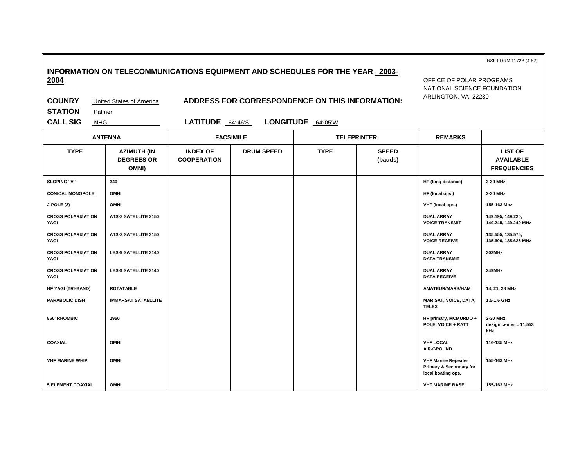|                                   |                                                                              |                                       |                                                         |                   |                         |                                                                             | NSF FORM 1172B (4-82)                                    |
|-----------------------------------|------------------------------------------------------------------------------|---------------------------------------|---------------------------------------------------------|-------------------|-------------------------|-----------------------------------------------------------------------------|----------------------------------------------------------|
| 2004                              | INFORMATION ON TELECOMMUNICATIONS EQUIPMENT AND SCHEDULES FOR THE YEAR 2003- |                                       | OFFICE OF POLAR PROGRAMS<br>NATIONAL SCIENCE FOUNDATION |                   |                         |                                                                             |                                                          |
| <b>COUNRY</b>                     | <b>United States of America</b>                                              |                                       | ADDRESS FOR CORRESPONDENCE ON THIS INFORMATION:         |                   |                         | ARLINGTON, VA 22230                                                         |                                                          |
| <b>STATION</b><br>Palmer          |                                                                              |                                       |                                                         |                   |                         |                                                                             |                                                          |
| <b>CALL SIG</b><br><b>NHG</b>     |                                                                              | LATITUDE 64°46'S                      |                                                         | LONGITUDE 64°05'W |                         |                                                                             |                                                          |
|                                   | <b>ANTENNA</b>                                                               | <b>FACSIMILE</b>                      |                                                         |                   | <b>TELEPRINTER</b>      | <b>REMARKS</b>                                                              |                                                          |
| <b>TYPE</b>                       | <b>AZIMUTH (IN</b><br><b>DEGREES OR</b><br>OMNI)                             | <b>INDEX OF</b><br><b>COOPERATION</b> | <b>DRUM SPEED</b>                                       | <b>TYPE</b>       | <b>SPEED</b><br>(bauds) |                                                                             | <b>LIST OF</b><br><b>AVAILABLE</b><br><b>FREQUENCIES</b> |
| SLOPING "V"                       | 340                                                                          |                                       |                                                         |                   |                         | HF (long distance)                                                          | 2-30 MHz                                                 |
| <b>CONICAL MONOPOLE</b>           | <b>OMNI</b>                                                                  |                                       |                                                         |                   |                         | HF (local ops.)                                                             | 2-30 MHz                                                 |
| J-POLE (2)                        | <b>OMNI</b>                                                                  |                                       |                                                         |                   |                         | VHF (local ops.)                                                            | 155-163 Mhz                                              |
| <b>CROSS POLARIZATION</b><br>YAGI | ATS-3 SATELLITE 3150                                                         |                                       |                                                         |                   |                         | <b>DUAL ARRAY</b><br><b>VOICE TRANSMIT</b>                                  | 149.195, 149.220,<br>149.245, 149.249 MHz                |
| <b>CROSS POLARIZATION</b><br>YAGI | ATS-3 SATELLITE 3150                                                         |                                       |                                                         |                   |                         | <b>DUAL ARRAY</b><br><b>VOICE RECEIVE</b>                                   | 135.555, 135.575,<br>135.600, 135.625 MHz                |
| <b>CROSS POLARIZATION</b><br>YAGI | <b>LES-9 SATELLITE 3140</b>                                                  |                                       |                                                         |                   |                         | <b>DUAL ARRAY</b><br><b>DATA TRANSMIT</b>                                   | 303MHz                                                   |
| <b>CROSS POLARIZATION</b><br>YAGI | <b>LES-9 SATELLITE 3140</b>                                                  |                                       |                                                         |                   |                         | <b>DUAL ARRAY</b><br><b>DATA RECEIVE</b>                                    | 249MHz                                                   |
| HF YAGI (TRI-BAND)                | <b>ROTATABLE</b>                                                             |                                       |                                                         |                   |                         | AMATEUR/MARS/HAM                                                            | 14, 21, 28 MHz                                           |
| <b>PARABOLIC DISH</b>             | <b>IMMARSAT SATAELLITE</b>                                                   |                                       |                                                         |                   |                         | <b>MARISAT, VOICE, DATA,</b><br><b>TELEX</b>                                | 1.5-1.6 GHz                                              |
| 860' RHOMBIC                      | 1950                                                                         |                                       |                                                         |                   |                         | HF primary, MCMURDO +<br>POLE, VOICE + RATT                                 | 2-30 MHz<br>design center = $11,553$<br>kHz              |
| <b>COAXIAL</b>                    | <b>OMNI</b>                                                                  |                                       |                                                         |                   |                         | <b>VHF LOCAL</b><br><b>AIR-GROUND</b>                                       | 116-135 MHz                                              |
| <b>VHF MARINE WHIP</b>            | <b>OMNI</b>                                                                  |                                       |                                                         |                   |                         | <b>VHF Marine Repeater</b><br>Primary & Secondary for<br>local boating ops. | 155-163 MHz                                              |
| <b>5 ELEMENT COAXIAL</b>          | <b>OMNI</b>                                                                  |                                       |                                                         |                   |                         | <b>VHF MARINE BASE</b>                                                      | 155-163 MHz                                              |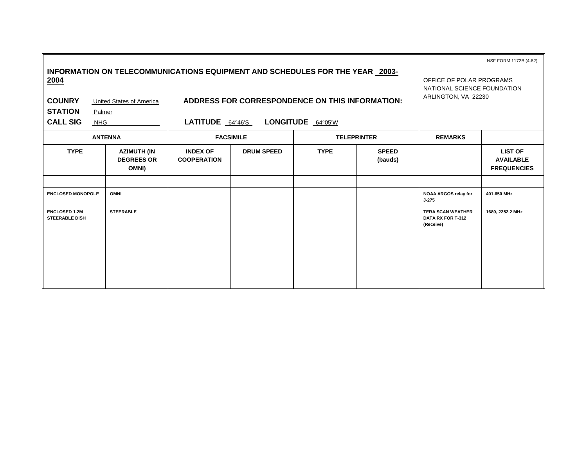|                                                   |                                                                                                                 |                                                                                |                   |                   |                         |                                                            | NSF FORM 1172B (4-82)                                    |
|---------------------------------------------------|-----------------------------------------------------------------------------------------------------------------|--------------------------------------------------------------------------------|-------------------|-------------------|-------------------------|------------------------------------------------------------|----------------------------------------------------------|
| 2004<br><b>COUNRY</b><br><b>STATION</b><br>Palmer | INFORMATION ON TELECOMMUNICATIONS EQUIPMENT AND SCHEDULES FOR THE YEAR 2003-<br><b>United States of America</b> | OFFICE OF POLAR PROGRAMS<br>NATIONAL SCIENCE FOUNDATION<br>ARLINGTON, VA 22230 |                   |                   |                         |                                                            |                                                          |
| <b>CALL SIG</b><br><b>NHG</b>                     |                                                                                                                 | LATITUDE 64°46'S                                                               |                   | LONGITUDE 64°05'W |                         |                                                            |                                                          |
|                                                   | <b>ANTENNA</b>                                                                                                  |                                                                                | <b>FACSIMILE</b>  |                   | <b>TELEPRINTER</b>      | <b>REMARKS</b>                                             |                                                          |
| <b>TYPE</b>                                       | <b>AZIMUTH (IN</b><br><b>DEGREES OR</b><br>OMNI)                                                                | <b>INDEX OF</b><br><b>COOPERATION</b>                                          | <b>DRUM SPEED</b> | <b>TYPE</b>       | <b>SPEED</b><br>(bauds) |                                                            | <b>LIST OF</b><br><b>AVAILABLE</b><br><b>FREQUENCIES</b> |
|                                                   |                                                                                                                 |                                                                                |                   |                   |                         |                                                            |                                                          |
| <b>ENCLOSED MONOPOLE</b>                          | <b>OMNI</b>                                                                                                     |                                                                                |                   |                   |                         | NOAA ARGOS relay for<br>$J - 275$                          | 401.650 MHz                                              |
| <b>ENCLOSED 1.2M</b><br><b>STEERABLE DISH</b>     | <b>STEERABLE</b>                                                                                                |                                                                                |                   |                   |                         | <b>TERA SCAN WEATHER</b><br>DATA RX FOR T-312<br>(Receive) | 1689, 2252.2 MHz                                         |